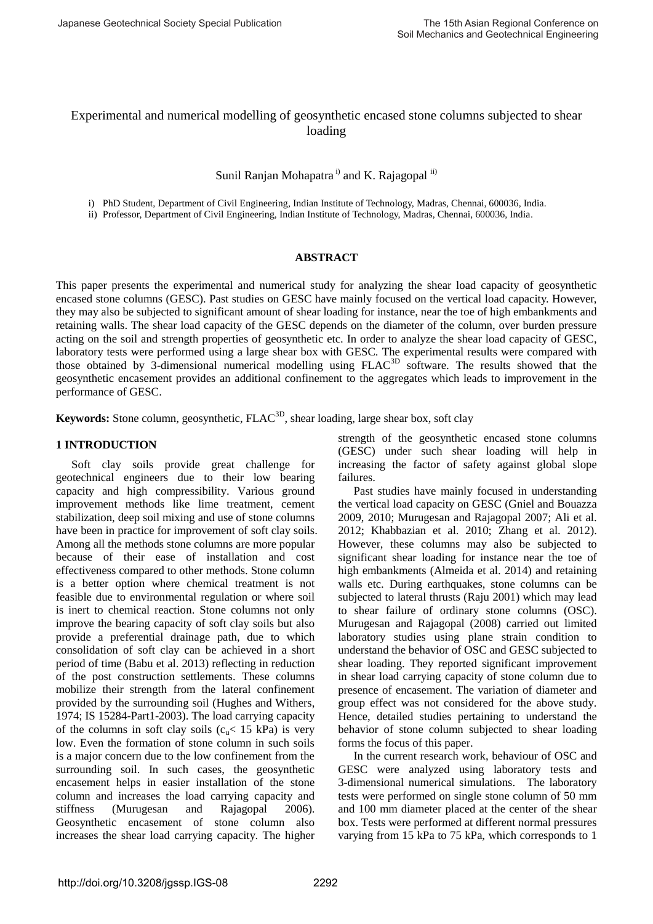# Experimental and numerical modelling of geosynthetic encased stone columns subjected to shear loading

## Sunil Ranjan Mohapatra<sup>i)</sup> and K. Rajagopal<sup>ii)</sup>

i) PhD Student, Department of Civil Engineering, Indian Institute of Technology, Madras, Chennai, 600036, India.

ii) Professor, Department of Civil Engineering, Indian Institute of Technology, Madras, Chennai, 600036, India.

### **ABSTRACT**

This paper presents the experimental and numerical study for analyzing the shear load capacity of geosynthetic encased stone columns (GESC). Past studies on GESC have mainly focused on the vertical load capacity. However, they may also be subjected to significant amount of shear loading for instance, near the toe of high embankments and retaining walls. The shear load capacity of the GESC depends on the diameter of the column, over burden pressure acting on the soil and strength properties of geosynthetic etc. In order to analyze the shear load capacity of GESC, laboratory tests were performed using a large shear box with GESC. The experimental results were compared with those obtained by 3-dimensional numerical modelling using FLAC3D software. The results showed that the geosynthetic encasement provides an additional confinement to the aggregates which leads to improvement in the performance of GESC.

**Keywords:** Stone column, geosynthetic, FLAC<sup>3D</sup>, shear loading, large shear box, soft clay

## **1 INTRODUCTION**

Soft clay soils provide great challenge for geotechnical engineers due to their low bearing capacity and high compressibility. Various ground improvement methods like lime treatment, cement stabilization, deep soil mixing and use of stone columns have been in practice for improvement of soft clay soils. Among all the methods stone columns are more popular because of their ease of installation and cost effectiveness compared to other methods. Stone column is a better option where chemical treatment is not feasible due to environmental regulation or where soil is inert to chemical reaction. Stone columns not only improve the bearing capacity of soft clay soils but also provide a preferential drainage path, due to which consolidation of soft clay can be achieved in a short period of time (Babu et al. 2013) reflecting in reduction of the post construction settlements. These columns mobilize their strength from the lateral confinement provided by the surrounding soil (Hughes and Withers, 1974; IS 15284-Part1-2003). The load carrying capacity of the columns in soft clay soils  $(c_{\nu} < 15 \text{ kPa})$  is very low. Even the formation of stone column in such soils is a major concern due to the low confinement from the surrounding soil. In such cases, the geosynthetic encasement helps in easier installation of the stone column and increases the load carrying capacity and stiffness (Murugesan and Rajagopal 2006). Geosynthetic encasement of stone column also increases the shear load carrying capacity. The higher

strength of the geosynthetic encased stone columns (GESC) under such shear loading will help in increasing the factor of safety against global slope failures.

Past studies have mainly focused in understanding the vertical load capacity on GESC (Gniel and Bouazza 2009, 2010; Murugesan and Rajagopal 2007; Ali et al. 2012; Khabbazian et al. 2010; Zhang et al. 2012). However, these columns may also be subjected to significant shear loading for instance near the toe of high embankments (Almeida et al. 2014) and retaining walls etc. During earthquakes, stone columns can be subjected to lateral thrusts (Raju 2001) which may lead to shear failure of ordinary stone columns (OSC). Murugesan and Rajagopal (2008) carried out limited laboratory studies using plane strain condition to understand the behavior of OSC and GESC subjected to shear loading. They reported significant improvement in shear load carrying capacity of stone column due to presence of encasement. The variation of diameter and group effect was not considered for the above study. Hence, detailed studies pertaining to understand the behavior of stone column subjected to shear loading forms the focus of this paper.

In the current research work, behaviour of OSC and GESC were analyzed using laboratory tests and 3-dimensional numerical simulations. The laboratory tests were performed on single stone column of 50 mm and 100 mm diameter placed at the center of the shear box. Tests were performed at different normal pressures varying from 15 kPa to 75 kPa, which corresponds to 1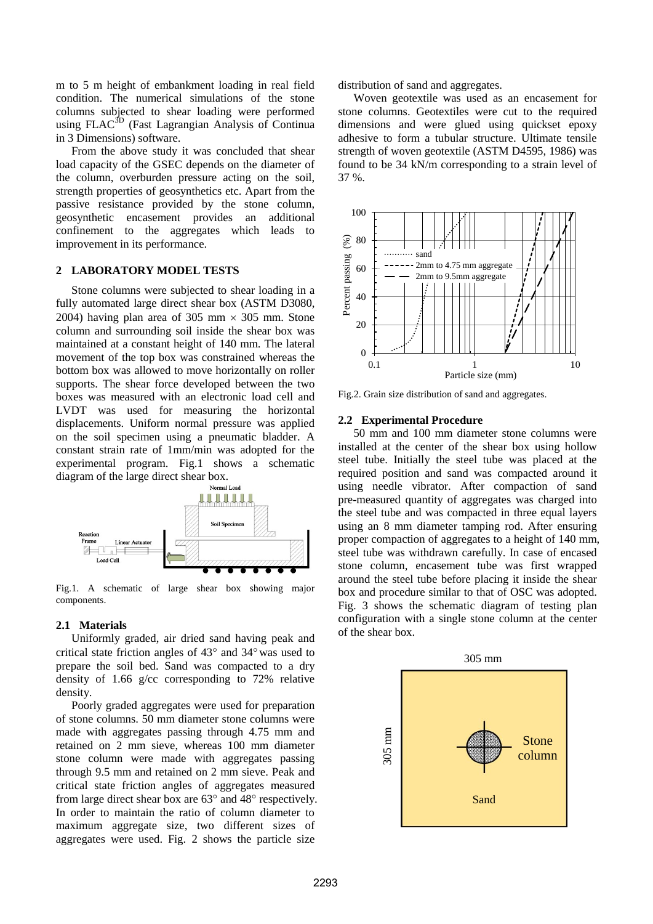m to 5 m height of embankment loading in real field condition. The numerical simulations of the stone columns subjected to shear loading were performed using FLAC<sup>3D</sup> (Fast Lagrangian Analysis of Continua in 3 Dimensions) software.

From the above study it was concluded that shear load capacity of the GSEC depends on the diameter of the column, overburden pressure acting on the soil, strength properties of geosynthetics etc. Apart from the passive resistance provided by the stone column, geosynthetic encasement provides an additional confinement to the aggregates which leads to improvement in its performance.

### **2 LABORATORY MODEL TESTS**

Stone columns were subjected to shear loading in a fully automated large direct shear box (ASTM D3080, 2004) having plan area of 305 mm  $\times$  305 mm. Stone column and surrounding soil inside the shear box was maintained at a constant height of 140 mm. The lateral movement of the top box was constrained whereas the bottom box was allowed to move horizontally on roller supports. The shear force developed between the two boxes was measured with an electronic load cell and LVDT was used for measuring the horizontal displacements. Uniform normal pressure was applied on the soil specimen using a pneumatic bladder. A constant strain rate of 1mm/min was adopted for the experimental program. Fig.1 shows a schematic diagram of the large direct shear box.



Fig.1. A schematic of large shear box showing major components.

#### **2.1 Materials**

Uniformly graded, air dried sand having peak and critical state friction angles of  $43^{\circ}$  and  $34^{\circ}$  was used to prepare the soil bed. Sand was compacted to a dry density of 1.66 g/cc corresponding to 72% relative density.

Poorly graded aggregates were used for preparation of stone columns. 50 mm diameter stone columns were made with aggregates passing through 4.75 mm and retained on 2 mm sieve, whereas 100 mm diameter stone column were made with aggregates passing through 9.5 mm and retained on 2 mm sieve. Peak and critical state friction angles of aggregates measured from large direct shear box are  $63^{\circ}$  and  $48^{\circ}$  respectively. In order to maintain the ratio of column diameter to maximum aggregate size, two different sizes of aggregates were used. Fig. 2 shows the particle size

distribution of sand and aggregates.

Woven geotextile was used as an encasement for stone columns. Geotextiles were cut to the required dimensions and were glued using quickset epoxy adhesive to form a tubular structure. Ultimate tensile strength of woven geotextile (ASTM D4595, 1986) was found to be 34 kN/m corresponding to a strain level of 37 %.



Fig.2. Grain size distribution of sand and aggregates.

#### **2.2 Experimental Procedure**

50 mm and 100 mm diameter stone columns were installed at the center of the shear box using hollow steel tube. Initially the steel tube was placed at the required position and sand was compacted around it using needle vibrator. After compaction of sand pre-measured quantity of aggregates was charged into the steel tube and was compacted in three equal layers using an 8 mm diameter tamping rod. After ensuring proper compaction of aggregates to a height of 140 mm, steel tube was withdrawn carefully. In case of encased stone column, encasement tube was first wrapped around the steel tube before placing it inside the shear box and procedure similar to that of OSC was adopted. Fig. 3 shows the schematic diagram of testing plan configuration with a single stone column at the center of the shear box.

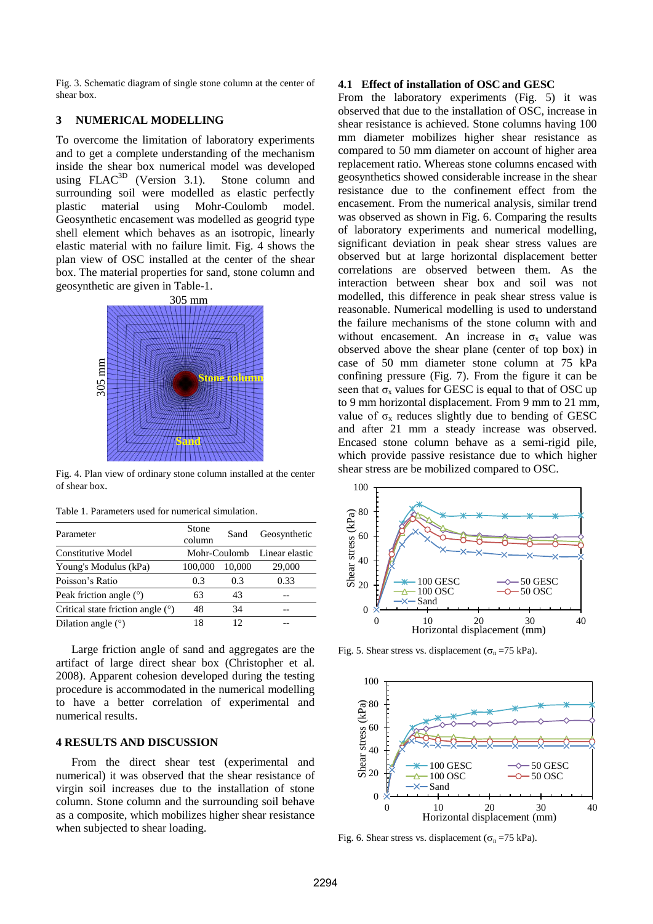Fig. 3. Schematic diagram of single stone column at the center of shear box.

### **3 NUMERICAL MODELLING**

To overcome the limitation of laboratory experiments and to get a complete understanding of the mechanism inside the shear box numerical model was developed using  $FLAC<sup>3D</sup>$  (Version 3.1). Stone column and surrounding soil were modelled as elastic perfectly plastic material using Mohr-Coulomb model. Geosynthetic encasement was modelled as geogrid type shell element which behaves as an isotropic, linearly elastic material with no failure limit. Fig. 4 shows the plan view of OSC installed at the center of the shear box. The material properties for sand, stone column and geosynthetic are given in Table-1.



Fig. 4. Plan view of ordinary stone column installed at the center of shear box.

| Parameter                           | Stone<br>column | Sand   | Geosynthetic   |
|-------------------------------------|-----------------|--------|----------------|
| Constitutive Model                  | Mohr-Coulomb    |        | Linear elastic |
| Young's Modulus (kPa)               | 100,000         | 10,000 | 29,000         |
| Poisson's Ratio                     | 0.3             | 0.3    | 0.33           |
| Peak friction angle $(°)$           | 63              | 43     |                |
| Critical state friction angle $(°)$ | 48              | 34     | --             |
| Dilation angle $(°)$                | 18              | 12     |                |

Table 1. Parameters used for numerical simulation.

Large friction angle of sand and aggregates are the artifact of large direct shear box (Christopher et al. 2008). Apparent cohesion developed during the testing procedure is accommodated in the numerical modelling to have a better correlation of experimental and numerical results.

#### **4 RESULTS AND DISCUSSION**

From the direct shear test (experimental and numerical) it was observed that the shear resistance of virgin soil increases due to the installation of stone column. Stone column and the surrounding soil behave as a composite, which mobilizes higher shear resistance when subjected to shear loading.

#### **4.1 Effect of installation of OSCand GESC**

From the laboratory experiments (Fig. 5) it was observed that due to the installation of OSC, increase in shear resistance is achieved. Stone columns having 100 mm diameter mobilizes higher shear resistance as compared to 50 mm diameter on account of higher area replacement ratio. Whereas stone columns encased with geosynthetics showed considerable increase in the shear resistance due to the confinement effect from the encasement. From the numerical analysis, similar trend was observed as shown in Fig. 6. Comparing the results of laboratory experiments and numerical modelling, significant deviation in peak shear stress values are observed but at large horizontal displacement better correlations are observed between them. As the interaction between shear box and soil was not modelled, this difference in peak shear stress value is reasonable. Numerical modelling is used to understand the failure mechanisms of the stone column with and without encasement. An increase in  $\sigma_x$  value was observed above the shear plane (center of top box) in case of 50 mm diameter stone column at 75 kPa confining pressure (Fig. 7). From the figure it can be seen that  $\sigma_x$  values for GESC is equal to that of OSC up to 9 mm horizontal displacement. From 9 mm to 21 mm, value of  $\sigma_x$  reduces slightly due to bending of GESC and after 21 mm a steady increase was observed. Encased stone column behave as a semi-rigid pile, which provide passive resistance due to which higher shear stress are be mobilized compared to OSC.



Fig. 5. Shear stress vs. displacement ( $\sigma_n = 75$  kPa).



Fig. 6. Shear stress vs. displacement ( $\sigma_n = 75$  kPa).